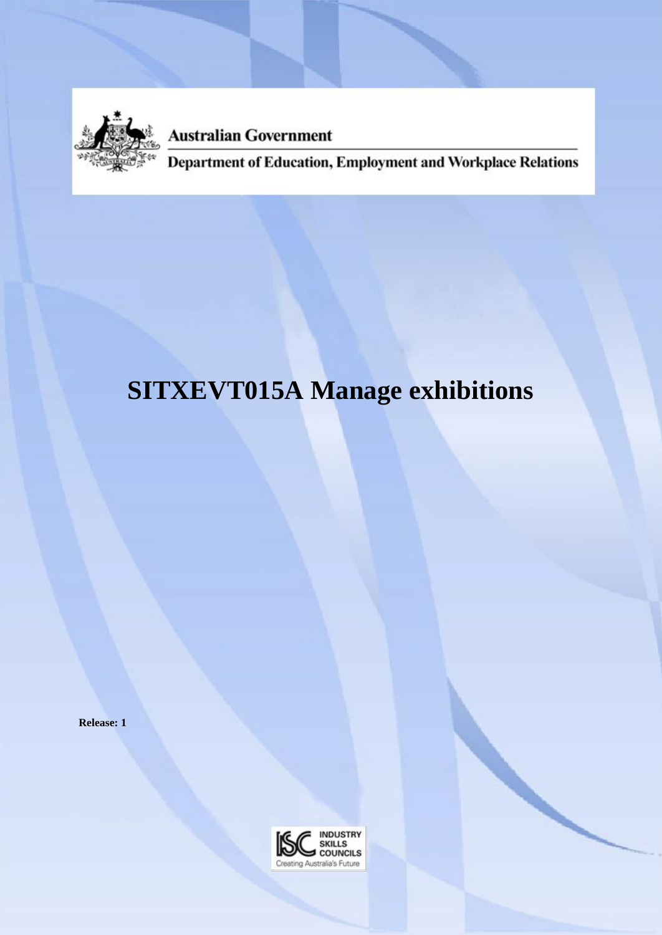

**Australian Government** 

Department of Education, Employment and Workplace Relations

# **SITXEVT015A Manage exhibitions**

**Release: 1**

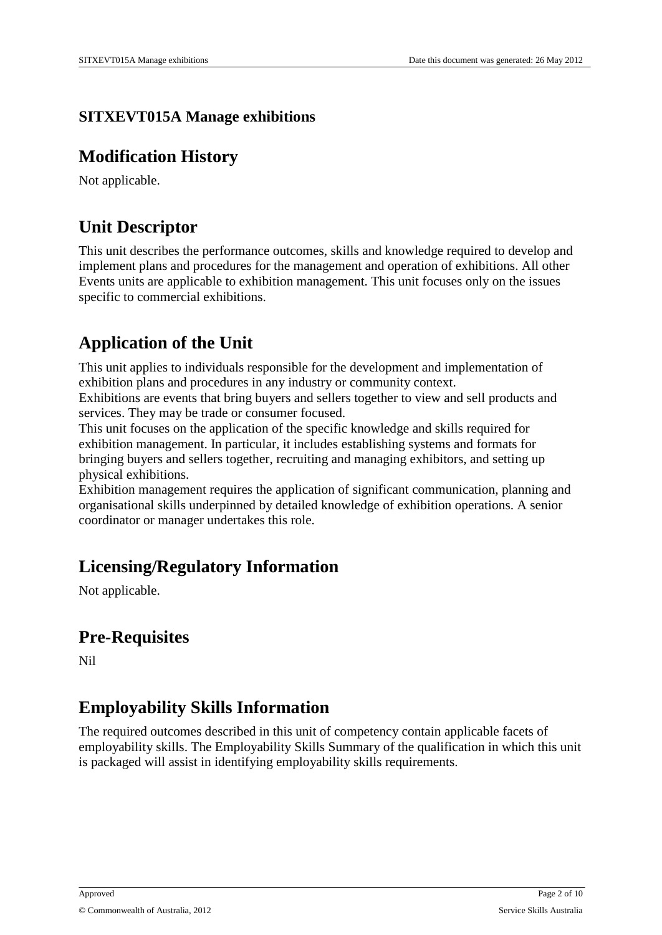#### **SITXEVT015A Manage exhibitions**

#### **Modification History**

Not applicable.

#### **Unit Descriptor**

This unit describes the performance outcomes, skills and knowledge required to develop and implement plans and procedures for the management and operation of exhibitions. All other Events units are applicable to exhibition management. This unit focuses only on the issues specific to commercial exhibitions.

### **Application of the Unit**

This unit applies to individuals responsible for the development and implementation of exhibition plans and procedures in any industry or community context.

Exhibitions are events that bring buyers and sellers together to view and sell products and services. They may be trade or consumer focused.

This unit focuses on the application of the specific knowledge and skills required for exhibition management. In particular, it includes establishing systems and formats for bringing buyers and sellers together, recruiting and managing exhibitors, and setting up physical exhibitions.

Exhibition management requires the application of significant communication, planning and organisational skills underpinned by detailed knowledge of exhibition operations. A senior coordinator or manager undertakes this role.

#### **Licensing/Regulatory Information**

Not applicable.

#### **Pre-Requisites**

Nil

### **Employability Skills Information**

The required outcomes described in this unit of competency contain applicable facets of employability skills. The Employability Skills Summary of the qualification in which this unit is packaged will assist in identifying employability skills requirements.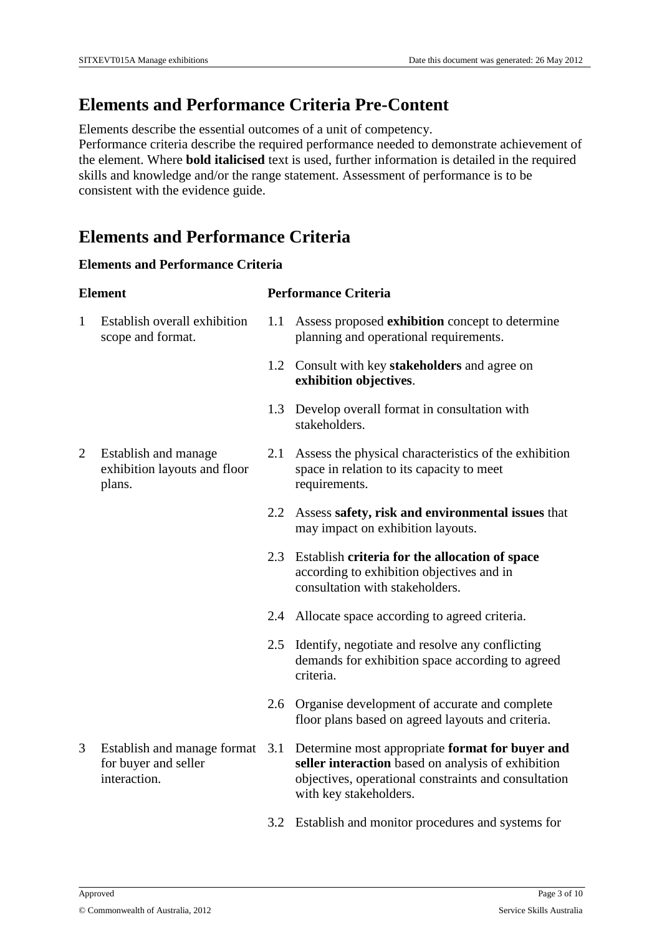# **Elements and Performance Criteria Pre-Content**

Elements describe the essential outcomes of a unit of competency.

Performance criteria describe the required performance needed to demonstrate achievement of the element. Where **bold italicised** text is used, further information is detailed in the required skills and knowledge and/or the range statement. Assessment of performance is to be consistent with the evidence guide.

#### **Elements and Performance Criteria**

#### **Elements and Performance Criteria**

| <b>Element</b> |                                                                     |     | <b>Performance Criteria</b>                                                                                                                                                             |  |
|----------------|---------------------------------------------------------------------|-----|-----------------------------------------------------------------------------------------------------------------------------------------------------------------------------------------|--|
| $\mathbf{1}$   | Establish overall exhibition<br>scope and format.                   | 1.1 | Assess proposed exhibition concept to determine<br>planning and operational requirements.                                                                                               |  |
|                |                                                                     | 1.2 | Consult with key stakeholders and agree on<br>exhibition objectives.                                                                                                                    |  |
|                |                                                                     | 1.3 | Develop overall format in consultation with<br>stakeholders.                                                                                                                            |  |
| $\overline{2}$ | Establish and manage<br>exhibition layouts and floor<br>plans.      | 2.1 | Assess the physical characteristics of the exhibition<br>space in relation to its capacity to meet<br>requirements.                                                                     |  |
|                |                                                                     | 2.2 | Assess safety, risk and environmental issues that<br>may impact on exhibition layouts.                                                                                                  |  |
|                |                                                                     | 2.3 | Establish criteria for the allocation of space<br>according to exhibition objectives and in<br>consultation with stakeholders.                                                          |  |
|                |                                                                     | 2.4 | Allocate space according to agreed criteria.                                                                                                                                            |  |
|                |                                                                     | 2.5 | Identify, negotiate and resolve any conflicting<br>demands for exhibition space according to agreed<br>criteria.                                                                        |  |
|                |                                                                     | 2.6 | Organise development of accurate and complete<br>floor plans based on agreed layouts and criteria.                                                                                      |  |
| 3              | Establish and manage format<br>for buyer and seller<br>interaction. | 3.1 | Determine most appropriate format for buyer and<br>seller interaction based on analysis of exhibition<br>objectives, operational constraints and consultation<br>with key stakeholders. |  |
|                |                                                                     | 3.2 | Establish and monitor procedures and systems for                                                                                                                                        |  |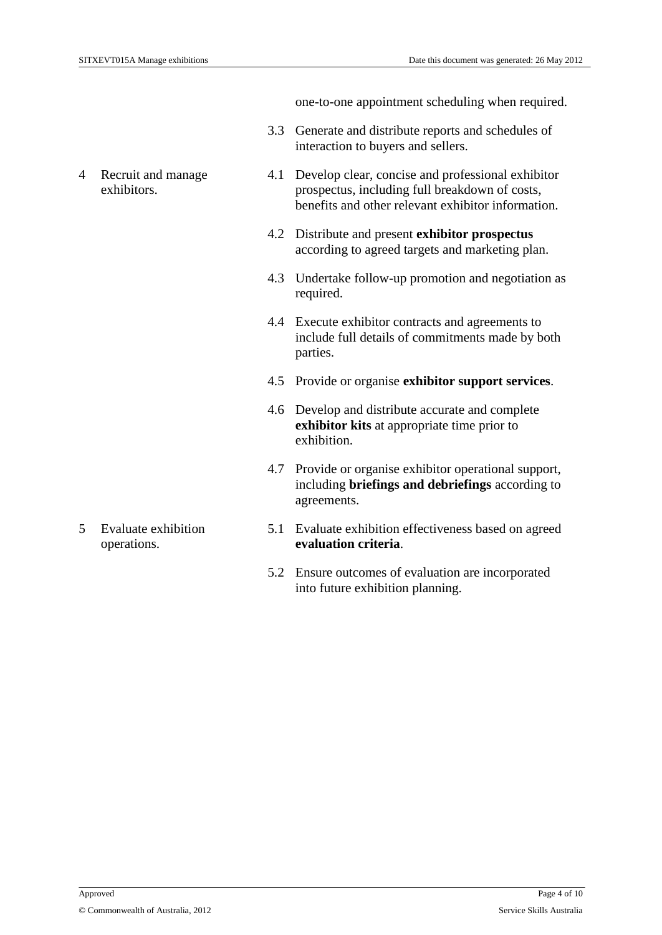one-to-one appointment scheduling when required.

- 3.3 Generate and distribute reports and schedules of interaction to buyers and sellers.
- 4.1 Develop clear, concise and professional exhibitor prospectus, including full breakdown of costs, benefits and other relevant exhibitor information.
- 4.2 Distribute and present **exhibitor prospectus**  according to agreed targets and marketing plan.
- 4.3 Undertake follow-up promotion and negotiation as required.
- 4.4 Execute exhibitor contracts and agreements to include full details of commitments made by both parties.
- 4.5 Provide or organise **exhibitor support services**.
- 4.6 Develop and distribute accurate and complete **exhibitor kits** at appropriate time prior to exhibition.
- 4.7 Provide or organise exhibitor operational support, including **briefings and debriefings** according to agreements.
- 5.1 Evaluate exhibition effectiveness based on agreed **evaluation criteria**.
- 5.2 Ensure outcomes of evaluation are incorporated into future exhibition planning.

4 Recruit and manage exhibitors.

5 Evaluate exhibition operations.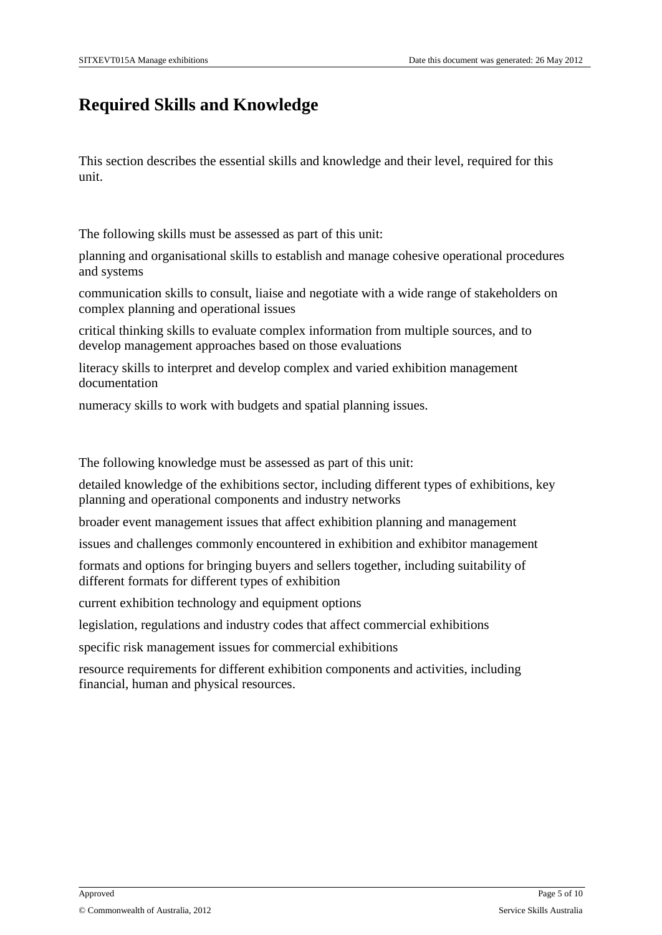# **Required Skills and Knowledge**

This section describes the essential skills and knowledge and their level, required for this unit.

The following skills must be assessed as part of this unit:

planning and organisational skills to establish and manage cohesive operational procedures and systems

communication skills to consult, liaise and negotiate with a wide range of stakeholders on complex planning and operational issues

critical thinking skills to evaluate complex information from multiple sources, and to develop management approaches based on those evaluations

literacy skills to interpret and develop complex and varied exhibition management documentation

numeracy skills to work with budgets and spatial planning issues.

The following knowledge must be assessed as part of this unit:

detailed knowledge of the exhibitions sector, including different types of exhibitions, key planning and operational components and industry networks

broader event management issues that affect exhibition planning and management

issues and challenges commonly encountered in exhibition and exhibitor management

formats and options for bringing buyers and sellers together, including suitability of different formats for different types of exhibition

current exhibition technology and equipment options

legislation, regulations and industry codes that affect commercial exhibitions

specific risk management issues for commercial exhibitions

resource requirements for different exhibition components and activities, including financial, human and physical resources.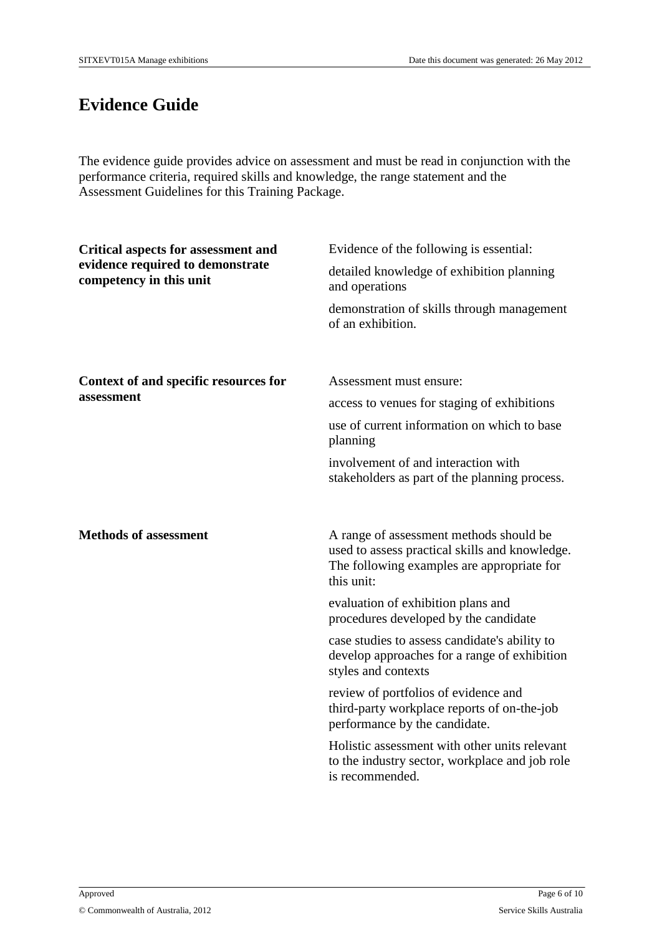# **Evidence Guide**

The evidence guide provides advice on assessment and must be read in conjunction with the performance criteria, required skills and knowledge, the range statement and the Assessment Guidelines for this Training Package.

| <b>Critical aspects for assessment and</b><br>evidence required to demonstrate<br>competency in this unit | Evidence of the following is essential:<br>detailed knowledge of exhibition planning<br>and operations<br>demonstration of skills through management<br>of an exhibition.                                                                                                                                                                                                                                                                                                                                                                                                                                  |
|-----------------------------------------------------------------------------------------------------------|------------------------------------------------------------------------------------------------------------------------------------------------------------------------------------------------------------------------------------------------------------------------------------------------------------------------------------------------------------------------------------------------------------------------------------------------------------------------------------------------------------------------------------------------------------------------------------------------------------|
| Context of and specific resources for<br>assessment                                                       | Assessment must ensure:<br>access to venues for staging of exhibitions<br>use of current information on which to base<br>planning<br>involvement of and interaction with<br>stakeholders as part of the planning process.                                                                                                                                                                                                                                                                                                                                                                                  |
| <b>Methods of assessment</b>                                                                              | A range of assessment methods should be<br>used to assess practical skills and knowledge.<br>The following examples are appropriate for<br>this unit:<br>evaluation of exhibition plans and<br>procedures developed by the candidate<br>case studies to assess candidate's ability to<br>develop approaches for a range of exhibition<br>styles and contexts<br>review of portfolios of evidence and<br>third-party workplace reports of on-the-job<br>performance by the candidate.<br>Holistic assessment with other units relevant<br>to the industry sector, workplace and job role<br>is recommended. |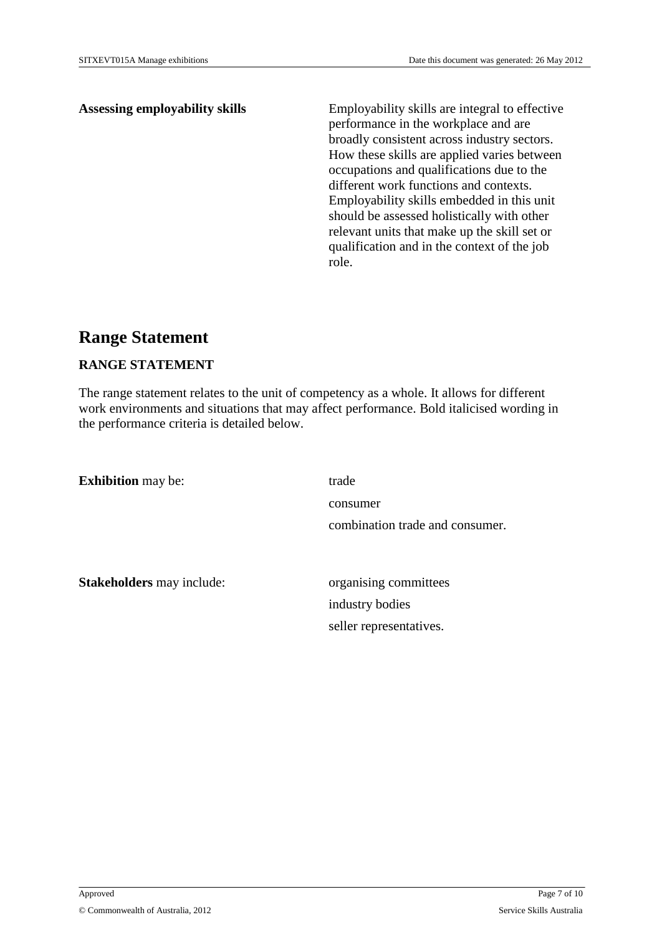Assessing employability skills Employability skills are integral to effective performance in the workplace and are broadly consistent across industry sectors. How these skills are applied varies between occupations and qualifications due to the different work functions and contexts. Employability skills embedded in this unit should be assessed holistically with other relevant units that make up the skill set or qualification and in the context of the job role.

#### **Range Statement**

#### **RANGE STATEMENT**

The range statement relates to the unit of competency as a whole. It allows for different work environments and situations that may affect performance. Bold italicised wording in the performance criteria is detailed below.

**Exhibition** may be: trade consumer combination trade and consumer.

**Stakeholders** may include: organising committees

industry bodies seller representatives.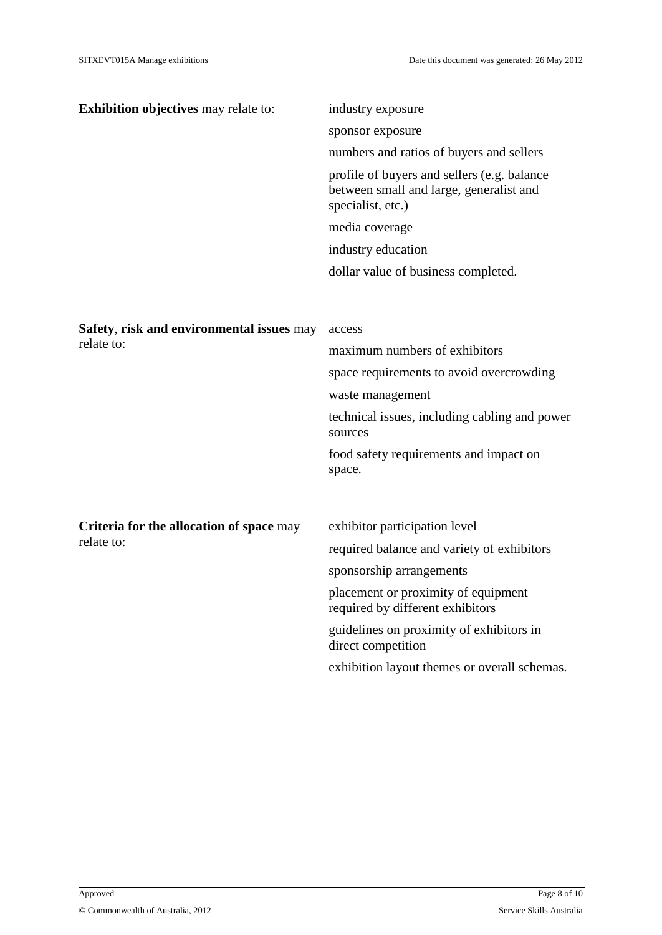| <b>Exhibition objectives</b> may relate to:             | industry exposure                                                                                           |
|---------------------------------------------------------|-------------------------------------------------------------------------------------------------------------|
|                                                         | sponsor exposure                                                                                            |
|                                                         | numbers and ratios of buyers and sellers                                                                    |
|                                                         | profile of buyers and sellers (e.g. balance<br>between small and large, generalist and<br>specialist, etc.) |
|                                                         | media coverage                                                                                              |
|                                                         | industry education                                                                                          |
|                                                         | dollar value of business completed.                                                                         |
|                                                         |                                                                                                             |
|                                                         |                                                                                                             |
| Safety, risk and environmental issues may<br>relate to: | access                                                                                                      |
|                                                         | maximum numbers of exhibitors                                                                               |
|                                                         | space requirements to avoid overcrowding                                                                    |
|                                                         | waste management                                                                                            |
|                                                         | technical issues, including cabling and power<br>sources                                                    |
|                                                         | food safety requirements and impact on<br>space.                                                            |
|                                                         |                                                                                                             |
| Criteria for the allocation of space may                | exhibitor participation level                                                                               |
| relate to:                                              | required balance and variety of exhibitors                                                                  |
|                                                         | sponsorship arrangements                                                                                    |
|                                                         |                                                                                                             |
|                                                         | placement or proximity of equipment<br>required by different exhibitors                                     |
|                                                         | guidelines on proximity of exhibitors in<br>direct competition                                              |
|                                                         | exhibition layout themes or overall schemas.                                                                |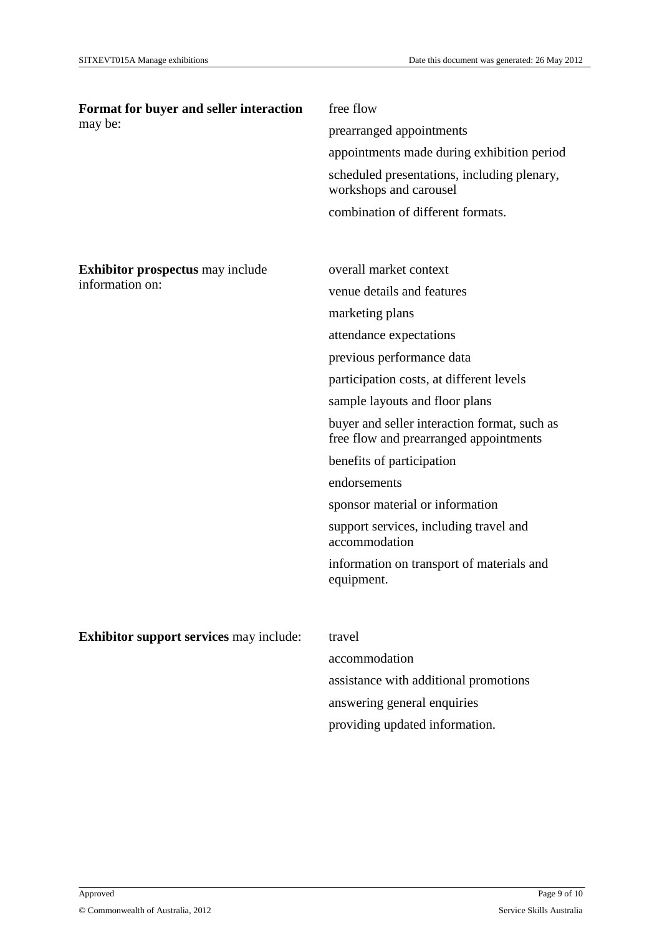| Format for buyer and seller interaction        | free flow                                                                              |  |
|------------------------------------------------|----------------------------------------------------------------------------------------|--|
| may be:                                        | prearranged appointments                                                               |  |
|                                                | appointments made during exhibition period                                             |  |
|                                                | scheduled presentations, including plenary,<br>workshops and carousel                  |  |
|                                                | combination of different formats.                                                      |  |
|                                                |                                                                                        |  |
| <b>Exhibitor prospectus</b> may include        | overall market context                                                                 |  |
| information on:                                | venue details and features                                                             |  |
|                                                | marketing plans                                                                        |  |
|                                                | attendance expectations                                                                |  |
|                                                | previous performance data                                                              |  |
|                                                | participation costs, at different levels                                               |  |
|                                                | sample layouts and floor plans                                                         |  |
|                                                | buyer and seller interaction format, such as<br>free flow and prearranged appointments |  |
|                                                | benefits of participation                                                              |  |
|                                                | endorsements                                                                           |  |
|                                                | sponsor material or information                                                        |  |
|                                                | support services, including travel and<br>accommodation                                |  |
|                                                | information on transport of materials and<br>equipment.                                |  |
|                                                |                                                                                        |  |
| <b>Exhibitor support services may include:</b> | travel                                                                                 |  |
|                                                | accommodation                                                                          |  |
|                                                | assistance with additional promotions                                                  |  |
|                                                | answering general enquiries                                                            |  |
|                                                | providing updated information.                                                         |  |